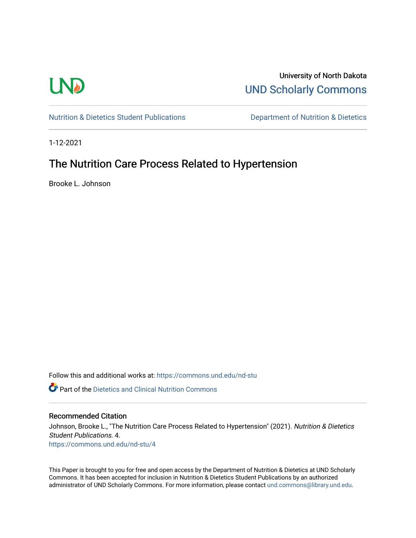# **LND**

University of North Dakota [UND Scholarly Commons](https://commons.und.edu/) 

[Nutrition & Dietetics Student Publications](https://commons.und.edu/nd-stu) **Department of Nutrition & Dietetics** 

1-12-2021

# The Nutrition Care Process Related to Hypertension

Brooke L. Johnson

Follow this and additional works at: [https://commons.und.edu/nd-stu](https://commons.und.edu/nd-stu?utm_source=commons.und.edu%2Fnd-stu%2F4&utm_medium=PDF&utm_campaign=PDFCoverPages)

 $\bullet$  Part of the Dietetics and Clinical Nutrition Commons

# Recommended Citation

Johnson, Brooke L., "The Nutrition Care Process Related to Hypertension" (2021). Nutrition & Dietetics Student Publications. 4. [https://commons.und.edu/nd-stu/4](https://commons.und.edu/nd-stu/4?utm_source=commons.und.edu%2Fnd-stu%2F4&utm_medium=PDF&utm_campaign=PDFCoverPages)

This Paper is brought to you for free and open access by the Department of Nutrition & Dietetics at UND Scholarly Commons. It has been accepted for inclusion in Nutrition & Dietetics Student Publications by an authorized administrator of UND Scholarly Commons. For more information, please contact [und.commons@library.und.edu.](mailto:und.commons@library.und.edu)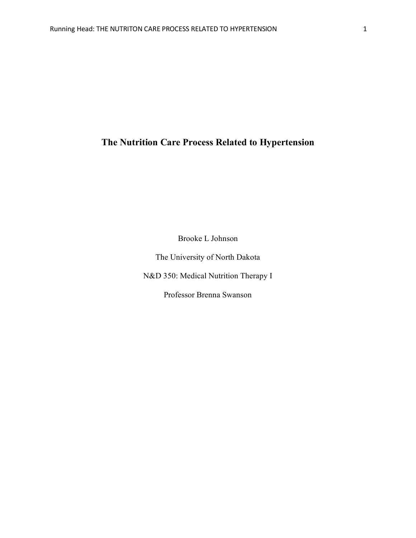# **The Nutrition Care Process Related to Hypertension**

Brooke L Johnson

The University of North Dakota

N&D 350: Medical Nutrition Therapy I

Professor Brenna Swanson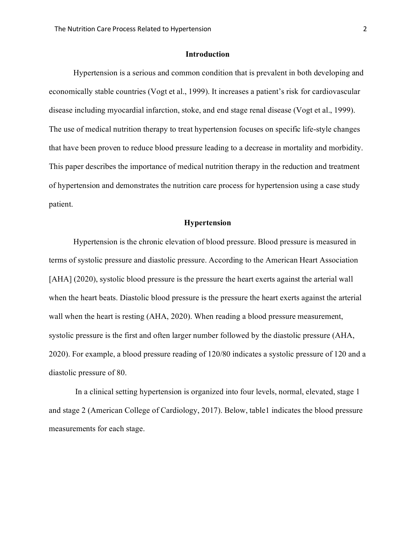#### **Introduction**

Hypertension is a serious and common condition that is prevalent in both developing and economically stable countries (Vogt et al., 1999). It increases a patient's risk for cardiovascular disease including myocardial infarction, stoke, and end stage renal disease (Vogt et al., 1999). The use of medical nutrition therapy to treat hypertension focuses on specific life-style changes that have been proven to reduce blood pressure leading to a decrease in mortality and morbidity. This paper describes the importance of medical nutrition therapy in the reduction and treatment of hypertension and demonstrates the nutrition care process for hypertension using a case study patient.

#### **Hypertension**

Hypertension is the chronic elevation of blood pressure. Blood pressure is measured in terms of systolic pressure and diastolic pressure. According to the American Heart Association [AHA] (2020), systolic blood pressure is the pressure the heart exerts against the arterial wall when the heart beats. Diastolic blood pressure is the pressure the heart exerts against the arterial wall when the heart is resting (AHA, 2020). When reading a blood pressure measurement, systolic pressure is the first and often larger number followed by the diastolic pressure (AHA, 2020). For example, a blood pressure reading of 120/80 indicates a systolic pressure of 120 and a diastolic pressure of 80.

In a clinical setting hypertension is organized into four levels, normal, elevated, stage 1 and stage 2 (American College of Cardiology, 2017). Below, table1 indicates the blood pressure measurements for each stage.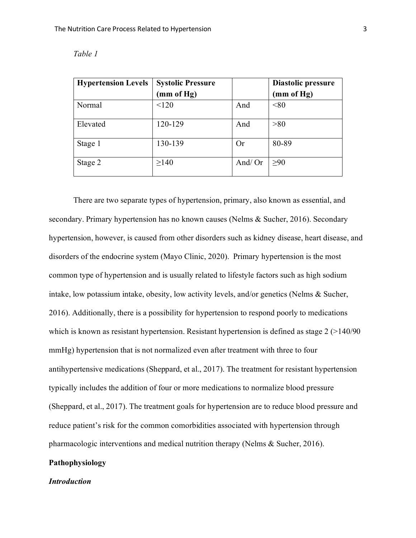| <b>Hypertension Levels</b> | <b>Systolic Pressure</b> |        | Diastolic pressure |
|----------------------------|--------------------------|--------|--------------------|
|                            | (mm of Hg)               |        | (mm of Hg)         |
| Normal                     | < 120                    | And    | < 80               |
| Elevated                   | 120-129                  | And    | >80                |
| Stage 1                    | 130-139                  | Or     | 80-89              |
| Stage 2                    | $\geq$ 140               | And/Or | >90                |

*Table 1* 

There are two separate types of hypertension, primary, also known as essential, and secondary. Primary hypertension has no known causes (Nelms & Sucher, 2016). Secondary hypertension, however, is caused from other disorders such as kidney disease, heart disease, and disorders of the endocrine system (Mayo Clinic, 2020). Primary hypertension is the most common type of hypertension and is usually related to lifestyle factors such as high sodium intake, low potassium intake, obesity, low activity levels, and/or genetics (Nelms & Sucher, 2016). Additionally, there is a possibility for hypertension to respond poorly to medications which is known as resistant hypertension. Resistant hypertension is defined as stage  $2$  (>140/90 mmHg) hypertension that is not normalized even after treatment with three to four antihypertensive medications (Sheppard, et al., 2017). The treatment for resistant hypertension typically includes the addition of four or more medications to normalize blood pressure (Sheppard, et al., 2017). The treatment goals for hypertension are to reduce blood pressure and reduce patient's risk for the common comorbidities associated with hypertension through pharmacologic interventions and medical nutrition therapy (Nelms & Sucher, 2016).

# **Pathophysiology**

### *Introduction*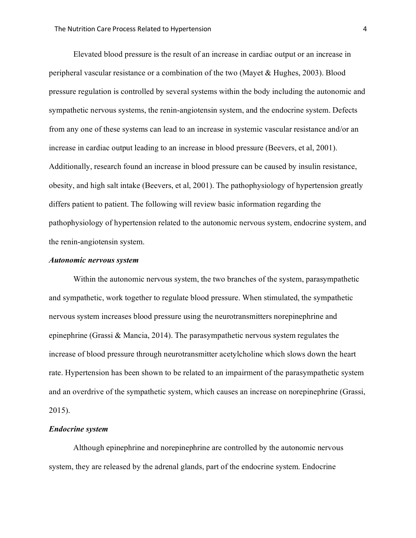Elevated blood pressure is the result of an increase in cardiac output or an increase in peripheral vascular resistance or a combination of the two (Mayet & Hughes, 2003). Blood pressure regulation is controlled by several systems within the body including the autonomic and sympathetic nervous systems, the renin-angiotensin system, and the endocrine system. Defects from any one of these systems can lead to an increase in systemic vascular resistance and/or an increase in cardiac output leading to an increase in blood pressure (Beevers, et al, 2001). Additionally, research found an increase in blood pressure can be caused by insulin resistance, obesity, and high salt intake (Beevers, et al, 2001). The pathophysiology of hypertension greatly differs patient to patient. The following will review basic information regarding the pathophysiology of hypertension related to the autonomic nervous system, endocrine system, and the renin-angiotensin system.

#### *Autonomic nervous system*

Within the autonomic nervous system, the two branches of the system, parasympathetic and sympathetic, work together to regulate blood pressure. When stimulated, the sympathetic nervous system increases blood pressure using the neurotransmitters norepinephrine and epinephrine (Grassi & Mancia, 2014). The parasympathetic nervous system regulates the increase of blood pressure through neurotransmitter acetylcholine which slows down the heart rate. Hypertension has been shown to be related to an impairment of the parasympathetic system and an overdrive of the sympathetic system, which causes an increase on norepinephrine (Grassi, 2015).

#### *Endocrine system*

Although epinephrine and norepinephrine are controlled by the autonomic nervous system, they are released by the adrenal glands, part of the endocrine system. Endocrine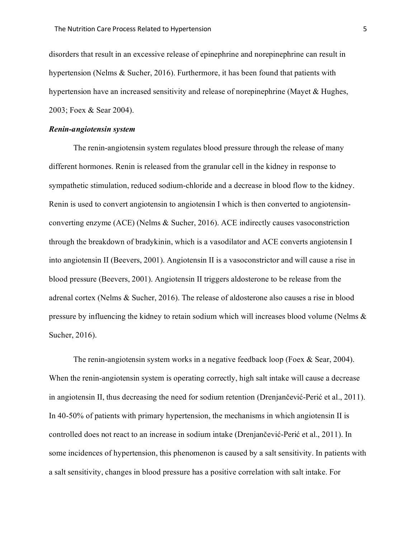disorders that result in an excessive release of epinephrine and norepinephrine can result in hypertension (Nelms & Sucher, 2016). Furthermore, it has been found that patients with hypertension have an increased sensitivity and release of norepinephrine (Mayet & Hughes, 2003; Foex & Sear 2004).

#### *Renin-angiotensin system*

The renin-angiotensin system regulates blood pressure through the release of many different hormones. Renin is released from the granular cell in the kidney in response to sympathetic stimulation, reduced sodium-chloride and a decrease in blood flow to the kidney. Renin is used to convert angiotensin to angiotensin I which is then converted to angiotensinconverting enzyme (ACE) (Nelms & Sucher, 2016). ACE indirectly causes vasoconstriction through the breakdown of bradykinin, which is a vasodilator and ACE converts angiotensin I into angiotensin II (Beevers, 2001). Angiotensin II is a vasoconstrictor and will cause a rise in blood pressure (Beevers, 2001). Angiotensin II triggers aldosterone to be release from the adrenal cortex (Nelms & Sucher, 2016). The release of aldosterone also causes a rise in blood pressure by influencing the kidney to retain sodium which will increases blood volume (Nelms & Sucher, 2016).

The renin-angiotensin system works in a negative feedback loop (Foex & Sear, 2004). When the renin-angiotensin system is operating correctly, high salt intake will cause a decrease in angiotensin II, thus decreasing the need for sodium retention (Drenjančević-Perić et al., 2011). In 40-50% of patients with primary hypertension, the mechanisms in which angiotensin II is controlled does not react to an increase in sodium intake (Drenjančević-Perić et al., 2011). In some incidences of hypertension, this phenomenon is caused by a salt sensitivity. In patients with a salt sensitivity, changes in blood pressure has a positive correlation with salt intake. For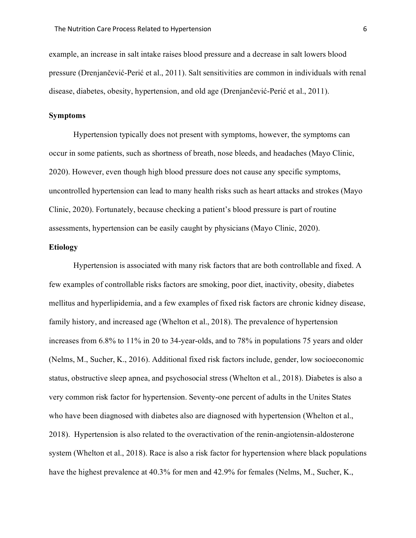example, an increase in salt intake raises blood pressure and a decrease in salt lowers blood pressure (Drenjančević-Perić et al., 2011). Salt sensitivities are common in individuals with renal disease, diabetes, obesity, hypertension, and old age (Drenjančević-Perić et al., 2011).

### **Symptoms**

Hypertension typically does not present with symptoms, however, the symptoms can occur in some patients, such as shortness of breath, nose bleeds, and headaches (Mayo Clinic, 2020). However, even though high blood pressure does not cause any specific symptoms, uncontrolled hypertension can lead to many health risks such as heart attacks and strokes (Mayo Clinic, 2020). Fortunately, because checking a patient's blood pressure is part of routine assessments, hypertension can be easily caught by physicians (Mayo Clinic, 2020).

# **Etiology**

Hypertension is associated with many risk factors that are both controllable and fixed. A few examples of controllable risks factors are smoking, poor diet, inactivity, obesity, diabetes mellitus and hyperlipidemia, and a few examples of fixed risk factors are chronic kidney disease, family history, and increased age (Whelton et al., 2018). The prevalence of hypertension increases from 6.8% to 11% in 20 to 34-year-olds, and to 78% in populations 75 years and older (Nelms, M., Sucher, K., 2016). Additional fixed risk factors include, gender, low socioeconomic status, obstructive sleep apnea, and psychosocial stress (Whelton et al., 2018). Diabetes is also a very common risk factor for hypertension. Seventy-one percent of adults in the Unites States who have been diagnosed with diabetes also are diagnosed with hypertension (Whelton et al., 2018). Hypertension is also related to the overactivation of the renin-angiotensin-aldosterone system (Whelton et al., 2018). Race is also a risk factor for hypertension where black populations have the highest prevalence at 40.3% for men and 42.9% for females (Nelms, M., Sucher, K.,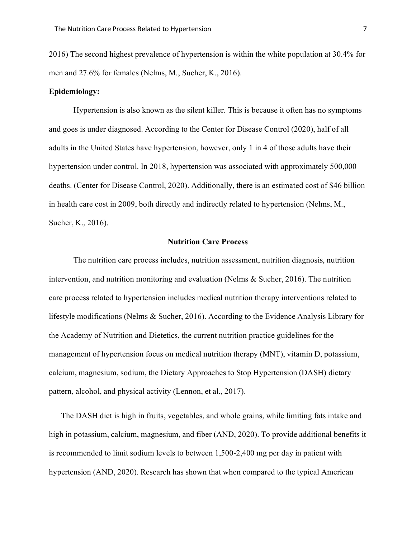2016) The second highest prevalence of hypertension is within the white population at 30.4% for men and 27.6% for females (Nelms, M., Sucher, K., 2016).

# **Epidemiology:**

Hypertension is also known as the silent killer. This is because it often has no symptoms and goes is under diagnosed. According to the Center for Disease Control (2020), half of all adults in the United States have hypertension, however, only 1 in 4 of those adults have their hypertension under control. In 2018, hypertension was associated with approximately 500,000 deaths. (Center for Disease Control, 2020). Additionally, there is an estimated cost of \$46 billion in health care cost in 2009, both directly and indirectly related to hypertension (Nelms, M., Sucher, K., 2016).

#### **Nutrition Care Process**

The nutrition care process includes, nutrition assessment, nutrition diagnosis, nutrition intervention, and nutrition monitoring and evaluation (Nelms & Sucher, 2016). The nutrition care process related to hypertension includes medical nutrition therapy interventions related to lifestyle modifications (Nelms & Sucher, 2016). According to the Evidence Analysis Library for the Academy of Nutrition and Dietetics, the current nutrition practice guidelines for the management of hypertension focus on medical nutrition therapy (MNT), vitamin D, potassium, calcium, magnesium, sodium, the Dietary Approaches to Stop Hypertension (DASH) dietary pattern, alcohol, and physical activity (Lennon, et al., 2017).

The DASH diet is high in fruits, vegetables, and whole grains, while limiting fats intake and high in potassium, calcium, magnesium, and fiber (AND, 2020). To provide additional benefits it is recommended to limit sodium levels to between 1,500-2,400 mg per day in patient with hypertension (AND, 2020). Research has shown that when compared to the typical American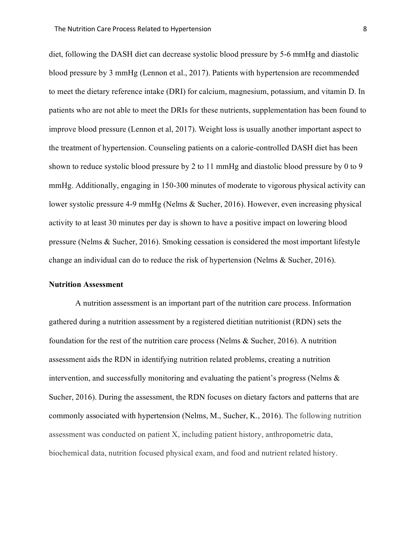diet, following the DASH diet can decrease systolic blood pressure by 5-6 mmHg and diastolic blood pressure by 3 mmHg (Lennon et al., 2017). Patients with hypertension are recommended to meet the dietary reference intake (DRI) for calcium, magnesium, potassium, and vitamin D. In patients who are not able to meet the DRIs for these nutrients, supplementation has been found to improve blood pressure (Lennon et al, 2017). Weight loss is usually another important aspect to the treatment of hypertension. Counseling patients on a calorie-controlled DASH diet has been shown to reduce systolic blood pressure by 2 to 11 mmHg and diastolic blood pressure by 0 to 9 mmHg. Additionally, engaging in 150-300 minutes of moderate to vigorous physical activity can lower systolic pressure 4-9 mmHg (Nelms & Sucher, 2016). However, even increasing physical activity to at least 30 minutes per day is shown to have a positive impact on lowering blood pressure (Nelms & Sucher, 2016). Smoking cessation is considered the most important lifestyle change an individual can do to reduce the risk of hypertension (Nelms & Sucher, 2016).

#### **Nutrition Assessment**

A nutrition assessment is an important part of the nutrition care process. Information gathered during a nutrition assessment by a registered dietitian nutritionist (RDN) sets the foundation for the rest of the nutrition care process (Nelms & Sucher, 2016). A nutrition assessment aids the RDN in identifying nutrition related problems, creating a nutrition intervention, and successfully monitoring and evaluating the patient's progress (Nelms & Sucher, 2016). During the assessment, the RDN focuses on dietary factors and patterns that are commonly associated with hypertension (Nelms, M., Sucher, K., 2016). The following nutrition assessment was conducted on patient X, including patient history, anthropometric data, biochemical data, nutrition focused physical exam, and food and nutrient related history.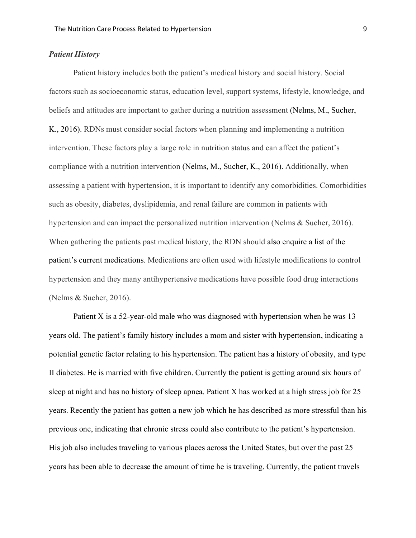## *Patient History*

Patient history includes both the patient's medical history and social history. Social factors such as socioeconomic status, education level, support systems, lifestyle, knowledge, and beliefs and attitudes are important to gather during a nutrition assessment (Nelms, M., Sucher, K., 2016). RDNs must consider social factors when planning and implementing a nutrition intervention. These factors play a large role in nutrition status and can affect the patient's compliance with a nutrition intervention (Nelms, M., Sucher, K., 2016). Additionally, when assessing a patient with hypertension, it is important to identify any comorbidities. Comorbidities such as obesity, diabetes, dyslipidemia, and renal failure are common in patients with hypertension and can impact the personalized nutrition intervention (Nelms & Sucher, 2016). When gathering the patients past medical history, the RDN should also enquire a list of the patient's current medications. Medications are often used with lifestyle modifications to control hypertension and they many antihypertensive medications have possible food drug interactions (Nelms & Sucher, 2016).

Patient X is a 52-year-old male who was diagnosed with hypertension when he was 13 years old. The patient's family history includes a mom and sister with hypertension, indicating a potential genetic factor relating to his hypertension. The patient has a history of obesity, and type II diabetes. He is married with five children. Currently the patient is getting around six hours of sleep at night and has no history of sleep apnea. Patient X has worked at a high stress job for 25 years. Recently the patient has gotten a new job which he has described as more stressful than his previous one, indicating that chronic stress could also contribute to the patient's hypertension. His job also includes traveling to various places across the United States, but over the past 25 years has been able to decrease the amount of time he is traveling. Currently, the patient travels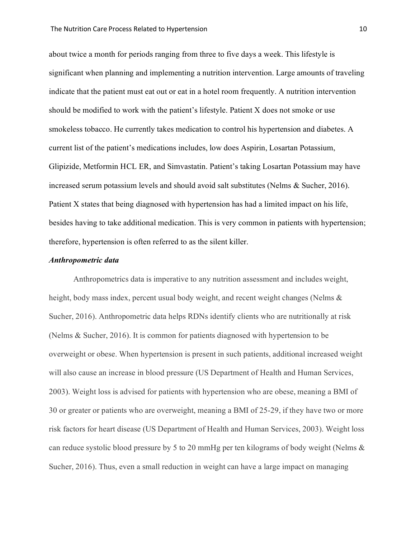about twice a month for periods ranging from three to five days a week. This lifestyle is significant when planning and implementing a nutrition intervention. Large amounts of traveling indicate that the patient must eat out or eat in a hotel room frequently. A nutrition intervention should be modified to work with the patient's lifestyle. Patient X does not smoke or use smokeless tobacco. He currently takes medication to control his hypertension and diabetes. A current list of the patient's medications includes, low does Aspirin, Losartan Potassium, Glipizide, Metformin HCL ER, and Simvastatin. Patient's taking Losartan Potassium may have increased serum potassium levels and should avoid salt substitutes (Nelms & Sucher, 2016). Patient X states that being diagnosed with hypertension has had a limited impact on his life, besides having to take additional medication. This is very common in patients with hypertension; therefore, hypertension is often referred to as the silent killer.

#### *Anthropometric data*

Anthropometrics data is imperative to any nutrition assessment and includes weight, height, body mass index, percent usual body weight, and recent weight changes (Nelms & Sucher, 2016). Anthropometric data helps RDNs identify clients who are nutritionally at risk (Nelms & Sucher, 2016). It is common for patients diagnosed with hypertension to be overweight or obese. When hypertension is present in such patients, additional increased weight will also cause an increase in blood pressure (US Department of Health and Human Services, 2003). Weight loss is advised for patients with hypertension who are obese, meaning a BMI of 30 or greater or patients who are overweight, meaning a BMI of 25-29, if they have two or more risk factors for heart disease (US Department of Health and Human Services, 2003). Weight loss can reduce systolic blood pressure by 5 to 20 mmHg per ten kilograms of body weight (Nelms & Sucher, 2016). Thus, even a small reduction in weight can have a large impact on managing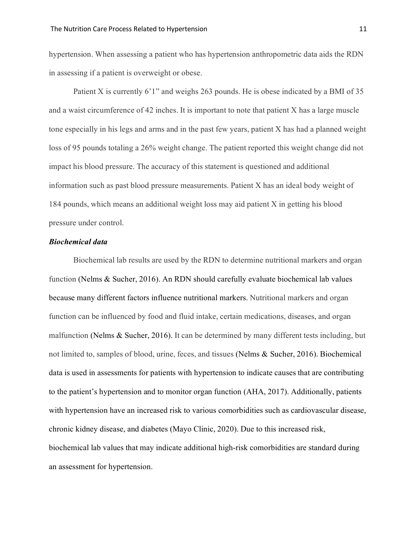hypertension. When assessing a patient who has hypertension anthropometric data aids the RDN in assessing if a patient is overweight or obese.

Patient X is currently 6'1" and weighs 263 pounds. He is obese indicated by a BMI of 35 and a waist circumference of 42 inches. It is important to note that patient X has a large muscle tone especially in his legs and arms and in the past few years, patient X has had a planned weight loss of 95 pounds totaling a 26% weight change. The patient reported this weight change did not impact his blood pressure. The accuracy of this statement is questioned and additional information such as past blood pressure measurements. Patient X has an ideal body weight of 184 pounds, which means an additional weight loss may aid patient X in getting his blood pressure under control.

#### *Biochemical data*

Biochemical lab results are used by the RDN to determine nutritional markers and organ function (Nelms & Sucher, 2016). An RDN should carefully evaluate biochemical lab values because many different factors influence nutritional markers. Nutritional markers and organ function can be influenced by food and fluid intake, certain medications, diseases, and organ malfunction (Nelms & Sucher, 2016). It can be determined by many different tests including, but not limited to, samples of blood, urine, feces, and tissues (Nelms & Sucher, 2016). Biochemical data is used in assessments for patients with hypertension to indicate causes that are contributing to the patient's hypertension and to monitor organ function (AHA, 2017). Additionally, patients with hypertension have an increased risk to various comorbidities such as cardiovascular disease, chronic kidney disease, and diabetes (Mayo Clinic, 2020). Due to this increased risk, biochemical lab values that may indicate additional high-risk comorbidities are standard during an assessment for hypertension.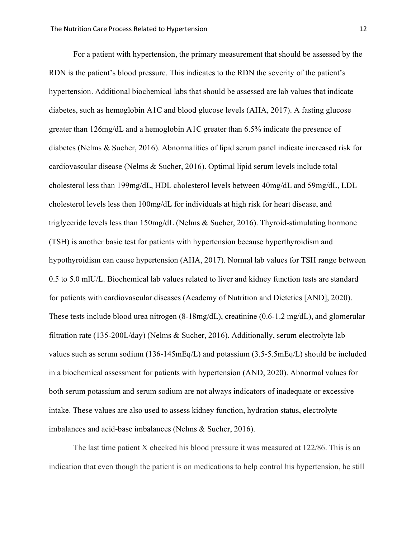For a patient with hypertension, the primary measurement that should be assessed by the RDN is the patient's blood pressure. This indicates to the RDN the severity of the patient's hypertension. Additional biochemical labs that should be assessed are lab values that indicate diabetes, such as hemoglobin A1C and blood glucose levels (AHA, 2017). A fasting glucose greater than 126mg/dL and a hemoglobin A1C greater than 6.5% indicate the presence of diabetes (Nelms & Sucher, 2016). Abnormalities of lipid serum panel indicate increased risk for cardiovascular disease (Nelms & Sucher, 2016). Optimal lipid serum levels include total cholesterol less than 199mg/dL, HDL cholesterol levels between 40mg/dL and 59mg/dL, LDL cholesterol levels less then 100mg/dL for individuals at high risk for heart disease, and triglyceride levels less than 150mg/dL (Nelms & Sucher, 2016). Thyroid-stimulating hormone (TSH) is another basic test for patients with hypertension because hyperthyroidism and hypothyroidism can cause hypertension (AHA, 2017). Normal lab values for TSH range between 0.5 to 5.0 mlU/L. Biochemical lab values related to liver and kidney function tests are standard for patients with cardiovascular diseases (Academy of Nutrition and Dietetics [AND], 2020). These tests include blood urea nitrogen (8-18mg/dL), creatinine (0.6-1.2 mg/dL), and glomerular filtration rate (135-200L/day) (Nelms & Sucher, 2016). Additionally, serum electrolyte lab values such as serum sodium (136-145mEq/L) and potassium (3.5-5.5mEq/L) should be included in a biochemical assessment for patients with hypertension (AND, 2020). Abnormal values for both serum potassium and serum sodium are not always indicators of inadequate or excessive intake. These values are also used to assess kidney function, hydration status, electrolyte imbalances and acid-base imbalances (Nelms & Sucher, 2016).

The last time patient X checked his blood pressure it was measured at 122/86. This is an indication that even though the patient is on medications to help control his hypertension, he still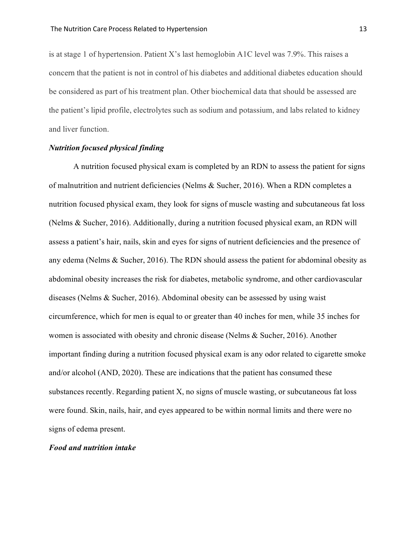is at stage 1 of hypertension. Patient X's last hemoglobin A1C level was 7.9%. This raises a concern that the patient is not in control of his diabetes and additional diabetes education should be considered as part of his treatment plan. Other biochemical data that should be assessed are the patient's lipid profile, electrolytes such as sodium and potassium, and labs related to kidney and liver function.

# *Nutrition focused physical finding*

A nutrition focused physical exam is completed by an RDN to assess the patient for signs of malnutrition and nutrient deficiencies (Nelms & Sucher, 2016). When a RDN completes a nutrition focused physical exam, they look for signs of muscle wasting and subcutaneous fat loss (Nelms & Sucher, 2016). Additionally, during a nutrition focused physical exam, an RDN will assess a patient's hair, nails, skin and eyes for signs of nutrient deficiencies and the presence of any edema (Nelms & Sucher, 2016). The RDN should assess the patient for abdominal obesity as abdominal obesity increases the risk for diabetes, metabolic syndrome, and other cardiovascular diseases (Nelms & Sucher, 2016). Abdominal obesity can be assessed by using waist circumference, which for men is equal to or greater than 40 inches for men, while 35 inches for women is associated with obesity and chronic disease (Nelms & Sucher, 2016). Another important finding during a nutrition focused physical exam is any odor related to cigarette smoke and/or alcohol (AND, 2020). These are indications that the patient has consumed these substances recently. Regarding patient X, no signs of muscle wasting, or subcutaneous fat loss were found. Skin, nails, hair, and eyes appeared to be within normal limits and there were no signs of edema present.

#### *Food and nutrition intake*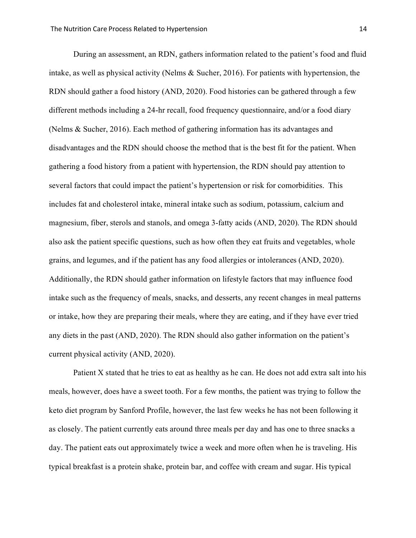During an assessment, an RDN, gathers information related to the patient's food and fluid intake, as well as physical activity (Nelms & Sucher, 2016). For patients with hypertension, the RDN should gather a food history (AND, 2020). Food histories can be gathered through a few different methods including a 24-hr recall, food frequency questionnaire, and/or a food diary (Nelms & Sucher, 2016). Each method of gathering information has its advantages and disadvantages and the RDN should choose the method that is the best fit for the patient. When gathering a food history from a patient with hypertension, the RDN should pay attention to several factors that could impact the patient's hypertension or risk for comorbidities. This includes fat and cholesterol intake, mineral intake such as sodium, potassium, calcium and magnesium, fiber, sterols and stanols, and omega 3-fatty acids (AND, 2020). The RDN should also ask the patient specific questions, such as how often they eat fruits and vegetables, whole grains, and legumes, and if the patient has any food allergies or intolerances (AND, 2020). Additionally, the RDN should gather information on lifestyle factors that may influence food intake such as the frequency of meals, snacks, and desserts, any recent changes in meal patterns or intake, how they are preparing their meals, where they are eating, and if they have ever tried any diets in the past (AND, 2020). The RDN should also gather information on the patient's current physical activity (AND, 2020).

Patient X stated that he tries to eat as healthy as he can. He does not add extra salt into his meals, however, does have a sweet tooth. For a few months, the patient was trying to follow the keto diet program by Sanford Profile, however, the last few weeks he has not been following it as closely. The patient currently eats around three meals per day and has one to three snacks a day. The patient eats out approximately twice a week and more often when he is traveling. His typical breakfast is a protein shake, protein bar, and coffee with cream and sugar. His typical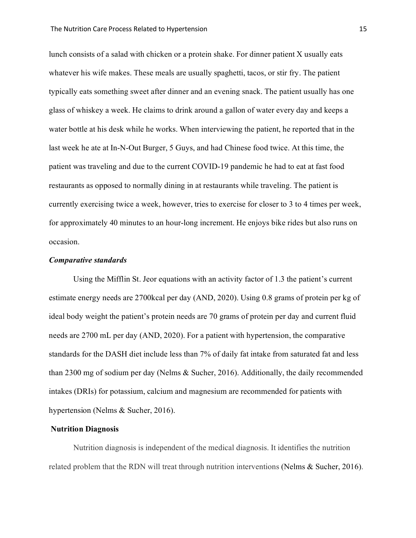lunch consists of a salad with chicken or a protein shake. For dinner patient X usually eats whatever his wife makes. These meals are usually spaghetti, tacos, or stir fry. The patient typically eats something sweet after dinner and an evening snack. The patient usually has one glass of whiskey a week. He claims to drink around a gallon of water every day and keeps a water bottle at his desk while he works. When interviewing the patient, he reported that in the last week he ate at In-N-Out Burger, 5 Guys, and had Chinese food twice. At this time, the patient was traveling and due to the current COVID-19 pandemic he had to eat at fast food restaurants as opposed to normally dining in at restaurants while traveling. The patient is currently exercising twice a week, however, tries to exercise for closer to 3 to 4 times per week, for approximately 40 minutes to an hour-long increment. He enjoys bike rides but also runs on occasion.

#### *Comparative standards*

Using the Mifflin St. Jeor equations with an activity factor of 1.3 the patient's current estimate energy needs are 2700kcal per day (AND, 2020). Using 0.8 grams of protein per kg of ideal body weight the patient's protein needs are 70 grams of protein per day and current fluid needs are 2700 mL per day (AND, 2020). For a patient with hypertension, the comparative standards for the DASH diet include less than 7% of daily fat intake from saturated fat and less than 2300 mg of sodium per day (Nelms & Sucher, 2016). Additionally, the daily recommended intakes (DRIs) for potassium, calcium and magnesium are recommended for patients with hypertension (Nelms & Sucher, 2016).

#### **Nutrition Diagnosis**

Nutrition diagnosis is independent of the medical diagnosis. It identifies the nutrition related problem that the RDN will treat through nutrition interventions (Nelms & Sucher, 2016).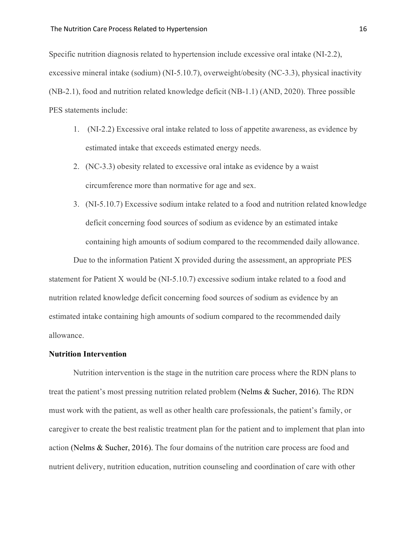Specific nutrition diagnosis related to hypertension include excessive oral intake (NI-2.2), excessive mineral intake (sodium) (NI-5.10.7), overweight/obesity (NC-3.3), physical inactivity (NB-2.1), food and nutrition related knowledge deficit (NB-1.1) (AND, 2020). Three possible PES statements include:

- 1. (NI-2.2) Excessive oral intake related to loss of appetite awareness, as evidence by estimated intake that exceeds estimated energy needs.
- 2. (NC-3.3) obesity related to excessive oral intake as evidence by a waist circumference more than normative for age and sex.
- 3. (NI-5.10.7) Excessive sodium intake related to a food and nutrition related knowledge deficit concerning food sources of sodium as evidence by an estimated intake containing high amounts of sodium compared to the recommended daily allowance.

Due to the information Patient X provided during the assessment, an appropriate PES statement for Patient X would be (NI-5.10.7) excessive sodium intake related to a food and nutrition related knowledge deficit concerning food sources of sodium as evidence by an estimated intake containing high amounts of sodium compared to the recommended daily allowance.

#### **Nutrition Intervention**

Nutrition intervention is the stage in the nutrition care process where the RDN plans to treat the patient's most pressing nutrition related problem (Nelms & Sucher, 2016). The RDN must work with the patient, as well as other health care professionals, the patient's family, or caregiver to create the best realistic treatment plan for the patient and to implement that plan into action (Nelms & Sucher, 2016). The four domains of the nutrition care process are food and nutrient delivery, nutrition education, nutrition counseling and coordination of care with other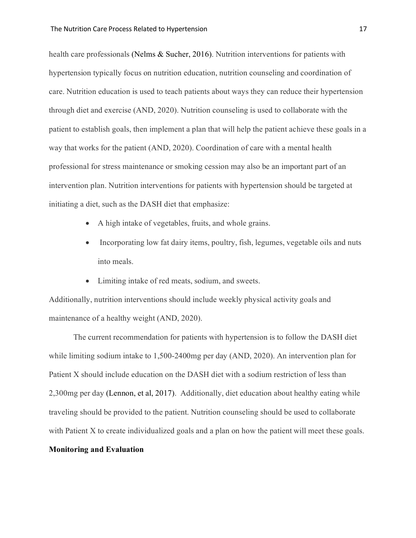health care professionals (Nelms & Sucher, 2016). Nutrition interventions for patients with hypertension typically focus on nutrition education, nutrition counseling and coordination of care. Nutrition education is used to teach patients about ways they can reduce their hypertension through diet and exercise (AND, 2020). Nutrition counseling is used to collaborate with the patient to establish goals, then implement a plan that will help the patient achieve these goals in a way that works for the patient (AND, 2020). Coordination of care with a mental health professional for stress maintenance or smoking cession may also be an important part of an intervention plan. Nutrition interventions for patients with hypertension should be targeted at initiating a diet, such as the DASH diet that emphasize:

- A high intake of vegetables, fruits, and whole grains.
- Incorporating low fat dairy items, poultry, fish, legumes, vegetable oils and nuts into meals.
- Limiting intake of red meats, sodium, and sweets.

Additionally, nutrition interventions should include weekly physical activity goals and maintenance of a healthy weight (AND, 2020).

The current recommendation for patients with hypertension is to follow the DASH diet while limiting sodium intake to 1,500-2400mg per day (AND, 2020). An intervention plan for Patient X should include education on the DASH diet with a sodium restriction of less than 2,300mg per day (Lennon, et al, 2017). Additionally, diet education about healthy eating while traveling should be provided to the patient. Nutrition counseling should be used to collaborate with Patient X to create individualized goals and a plan on how the patient will meet these goals.

# **Monitoring and Evaluation**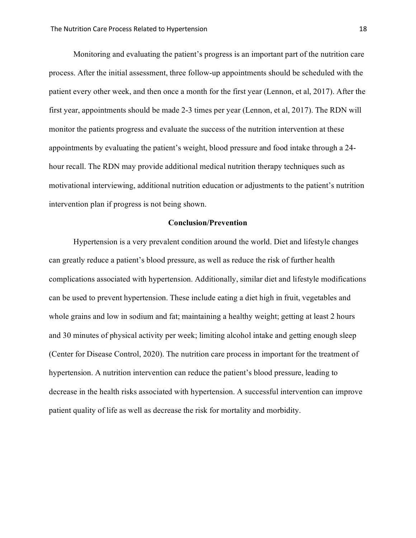Monitoring and evaluating the patient's progress is an important part of the nutrition care process. After the initial assessment, three follow-up appointments should be scheduled with the patient every other week, and then once a month for the first year (Lennon, et al, 2017). After the first year, appointments should be made 2-3 times per year (Lennon, et al, 2017). The RDN will monitor the patients progress and evaluate the success of the nutrition intervention at these appointments by evaluating the patient's weight, blood pressure and food intake through a 24 hour recall. The RDN may provide additional medical nutrition therapy techniques such as motivational interviewing, additional nutrition education or adjustments to the patient's nutrition intervention plan if progress is not being shown.

#### **Conclusion/Prevention**

Hypertension is a very prevalent condition around the world. Diet and lifestyle changes can greatly reduce a patient's blood pressure, as well as reduce the risk of further health complications associated with hypertension. Additionally, similar diet and lifestyle modifications can be used to prevent hypertension. These include eating a diet high in fruit, vegetables and whole grains and low in sodium and fat; maintaining a healthy weight; getting at least 2 hours and 30 minutes of physical activity per week; limiting alcohol intake and getting enough sleep (Center for Disease Control, 2020). The nutrition care process in important for the treatment of hypertension. A nutrition intervention can reduce the patient's blood pressure, leading to decrease in the health risks associated with hypertension. A successful intervention can improve patient quality of life as well as decrease the risk for mortality and morbidity.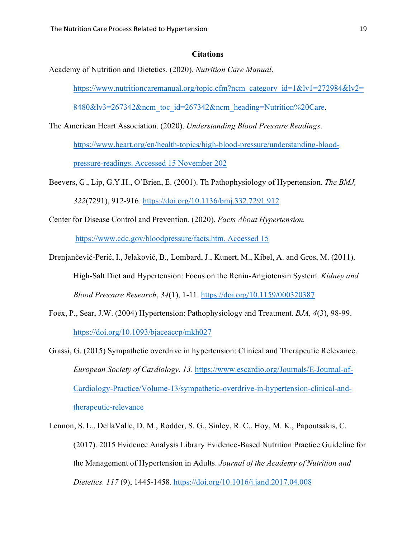#### **Citations**

Academy of Nutrition and Dietetics. (2020). *Nutrition Care Manual*.

[https://www.nutritioncaremanual.org/topic.cfm?ncm\\_category\\_id=1&lv1=272984&lv2=](https://www.nutritioncaremanual.org/topic.cfm?ncm_category_id=1&lv1=272984&lv2=8480&lv3=267342&ncm_toc_id=267342&ncm_heading=Nutrition%20Care)

[8480&lv3=267342&ncm\\_toc\\_id=267342&ncm\\_heading=Nutrition%20Care.](https://www.nutritioncaremanual.org/topic.cfm?ncm_category_id=1&lv1=272984&lv2=8480&lv3=267342&ncm_toc_id=267342&ncm_heading=Nutrition%20Care)

The American Heart Association. (2020). *Understanding Blood Pressure Readings*.

[https://www.heart.org/en/health-topics/high-blood-pressure/understanding-blood](https://www.heart.org/en/health-topics/high-blood-pressure/understanding-blood-pressure-readings.%20Accessed%2015%20November%20202)[pressure-readings. Accessed 15 November 202](https://www.heart.org/en/health-topics/high-blood-pressure/understanding-blood-pressure-readings.%20Accessed%2015%20November%20202)

- Beevers, G., Lip, G.Y.H., O'Brien, E. (2001). Th Pathophysiology of Hypertension. *The BMJ, 322*(7291), 912-916.<https://doi.org/10.1136/bmj.332.7291.912>
- Center for Disease Control and Prevention. (2020). *Facts About Hypertension.*

[https://www.cdc.gov/bloodpressure/facts.htm. Accessed 15](https://www.cdc.gov/bloodpressure/facts.htm.%20Accessed%2015)

- Drenjančević-Perić, I., Jelaković, B., Lombard, J., Kunert, M., Kibel, A. and Gros, M. (2011). High-Salt Diet and Hypertension: Focus on the Renin-Angiotensin System. *Kidney and Blood Pressure Research*, *34*(1), 1-11. <https://doi.org/10.1159/000320387>
- Foex, P., Sear, J.W. (2004) Hypertension: Pathophysiology and Treatment. *BJA, 4*(3), 98-99. <https://doi.org/10.1093/bjaceaccp/mkh027>
- Grassi, G. (2015) Sympathetic overdrive in hypertension: Clinical and Therapeutic Relevance. *European Society of Cardiology. 13*. [https://www.escardio.org/Journals/E-Journal-of-](https://www.escardio.org/Journals/E-Journal-of-Cardiology-Practice/Volume-13/sympathetic-overdrive-in-hypertension-clinical-and-therapeutic-relevance)[Cardiology-Practice/Volume-13/sympathetic-overdrive-in-hypertension-clinical-and](https://www.escardio.org/Journals/E-Journal-of-Cardiology-Practice/Volume-13/sympathetic-overdrive-in-hypertension-clinical-and-therapeutic-relevance)[therapeutic-relevance](https://www.escardio.org/Journals/E-Journal-of-Cardiology-Practice/Volume-13/sympathetic-overdrive-in-hypertension-clinical-and-therapeutic-relevance)
- Lennon, S. L., DellaValle, D. M., Rodder, S. G., Sinley, R. C., Hoy, M. K., Papoutsakis, C. (2017). 2015 Evidence Analysis Library Evidence-Based Nutrition Practice Guideline for the Management of Hypertension in Adults. *Journal of the Academy of Nutrition and Dietetics. 117* (9), 1445-1458.<https://doi.org/10.1016/j.jand.2017.04.008>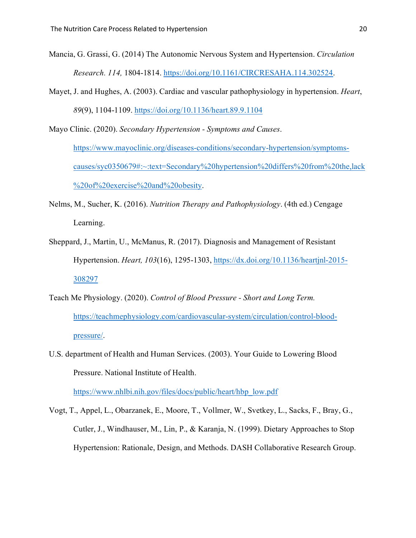- Mancia, G. Grassi, G. (2014) The Autonomic Nervous System and Hypertension. *Circulation Research. 114,* 1804-1814[. https://doi.org/10.1161/CIRCRESAHA.114.302524.](https://doi.org/10.1161/CIRCRESAHA.114.302524)
- Mayet, J. and Hughes, A. (2003). Cardiac and vascular pathophysiology in hypertension. *Heart*, *89*(9), 1104-1109. <https://doi.org/10.1136/heart.89.9.1104>

Mayo Clinic. (2020). *Secondary Hypertension - Symptoms and Causes*. [https://www.mayoclinic.org/diseases-conditions/secondary-hypertension/symptoms](https://www.mayoclinic.org/diseases-conditions/secondary-hypertension/symptoms-causes/syc0350679#:%7E:text=Secondary%20hypertension%20differs%20from%20the,lack%20of%20exercise%20and%20obesity)[causes/syc0350679#:~:text=Secondary%20hypertension%20differs%20from%20the,lack](https://www.mayoclinic.org/diseases-conditions/secondary-hypertension/symptoms-causes/syc0350679#:%7E:text=Secondary%20hypertension%20differs%20from%20the,lack%20of%20exercise%20and%20obesity) [%20of%20exercise%20and%20obesity.](https://www.mayoclinic.org/diseases-conditions/secondary-hypertension/symptoms-causes/syc0350679#:%7E:text=Secondary%20hypertension%20differs%20from%20the,lack%20of%20exercise%20and%20obesity)

- Nelms, M., Sucher, K. (2016). *Nutrition Therapy and Pathophysiology*. (4th ed.) Cengage Learning.
- Sheppard, J., Martin, U., McManus, R. (2017). Diagnosis and Management of Resistant Hypertension. *Heart, 103*(16), 1295-1303, [https://dx.doi.org/10.1136/heartjnl-2015-](https://dx.doi.org/10.1136/heartjnl-2015-308297) [308297](https://dx.doi.org/10.1136/heartjnl-2015-308297)
- Teach Me Physiology. (2020). *Control of Blood Pressure - Short and Long Term.* [https://teachmephysiology.com/cardiovascular-system/circulation/control-blood](https://teachmephysiology.com/cardiovascular-system/circulation/control-blood-pressure/)[pressure/.](https://teachmephysiology.com/cardiovascular-system/circulation/control-blood-pressure/)
- U.S. department of Health and Human Services. (2003). Your Guide to Lowering Blood Pressure. National Institute of Health.

[https://www.nhlbi.nih.gov/files/docs/public/heart/hbp\\_low.pdf](https://www.nhlbi.nih.gov/files/docs/public/heart/hbp_low.pdf)

Vogt, T., Appel, L., Obarzanek, E., Moore, T., Vollmer, W., Svetkey, L., Sacks, F., Bray, G., Cutler, J., Windhauser, M., Lin, P., & Karanja, N. (1999). Dietary Approaches to Stop Hypertension: Rationale, Design, and Methods. DASH Collaborative Research Group.